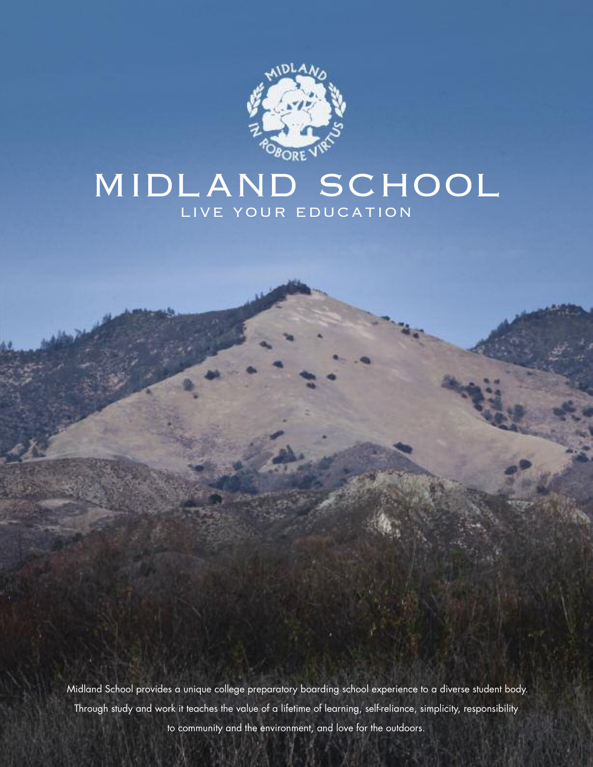

# MIDLAND SCHOOL LIVE YOUR EDUCATION

Midland School provides a unique college preparatory boarding school experience to a diverse student body. Through study and work it teaches the value of a lifetime of learning, self-reliance, simplicity, responsibility to community and the environment, and love for the outdoors.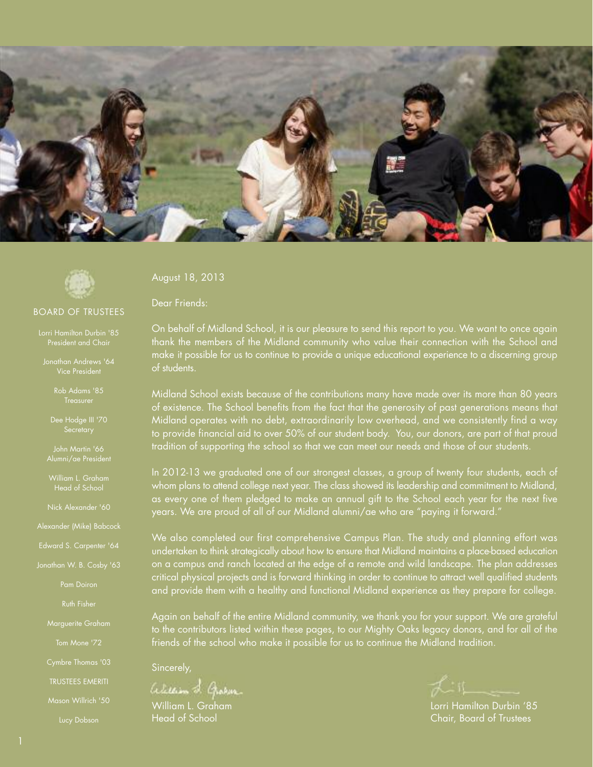

![](_page_1_Picture_1.jpeg)

#### BOARD OF TRUSTEES

Lorri Hamilton Durbin '85 President and Chair

Jonathan Andrews '64 Vice President

Rob Adams '85

John Martin '66 Alumni/ae President

Head of School

Nick Alexander '60

Alexander (Mike) Babcock

Edward S. Carpenter '64

Pam Doiron

Marguerite Graham

Tom Mone '72

TRUSTEES EMERITI

Mason Willrich '50

August 18, 2013

Dear Friends:

On behalf of Midland School, it is our pleasure to send this report to you. We want to once again thank the members of the Midland community who value their connection with the School and make it possible for us to continue to provide a unique educational experience to a discerning group of students.

Midland School exists because of the contributions many have made over its more than 80 years of existence. The School benefits from the fact that the generosity of past generations means that Midland operates with no debt, extraordinarily low overhead, and we consistently find a way to provide financial aid to over 50% of our student body. You, our donors, are part of that proud tradition of supporting the school so that we can meet our needs and those of our students.

In 2012-13 we graduated one of our strongest classes, a group of twenty four students, each of whom plans to attend college next year. The class showed its leadership and commitment to Midland, as every one of them pledged to make an annual gift to the School each year for the next five years. We are proud of all of our Midland alumni/ae who are "paying it forward."

We also completed our first comprehensive Campus Plan. The study and planning effort was undertaken to think strategically about how to ensure that Midland maintains a place-based education on a campus and ranch located at the edge of a remote and wild landscape. The plan addresses critical physical projects and is forward thinking in order to continue to attract well qualified students and provide them with a healthy and functional Midland experience as they prepare for college.

Again on behalf of the entire Midland community, we thank you for your support. We are grateful to the contributors listed within these pages, to our Mighty Oaks legacy donors, and for all of the friends of the school who make it possible for us to continue the Midland tradition.

Sincerely,

alexan L. Graham

William L. Graham **Matter and The Community Community** Lorri Hamilton Durbin '85 Head of School Chair, Board of Trustees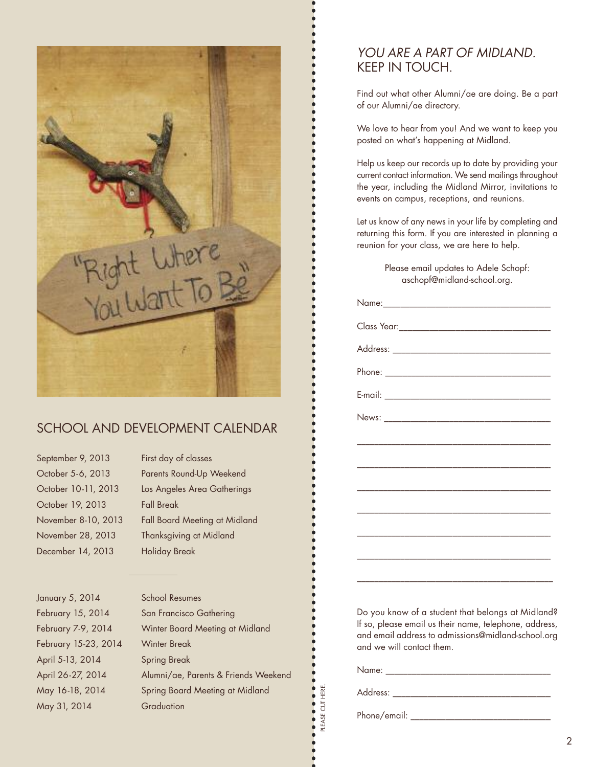![](_page_2_Picture_0.jpeg)

# SCHOOL AND DEVELOPMENT CALENDAR

September 9, 2013 First day of classes October 19, 2013 Fall Break December 14, 2013 Holiday Break

October 5-6, 2013 Parents Round-Up Weekend October 10-11, 2013 Los Angeles Area Gatherings November 8-10, 2013 Fall Board Meeting at Midland November 28, 2013 Thanksgiving at Midland

January 5, 2014 School Resumes February 15-23, 2014 Winter Break April 5-13, 2014 Spring Break May 31, 2014 Graduation

February 15, 2014 San Francisco Gathering February 7-9, 2014 Winter Board Meeting at Midland April 26-27, 2014 Alumni/ae, Parents & Friends Weekend May 16-18, 2014 Spring Board Meeting at Midland

# *YOU ARE A PART OF MIDLAND.* KEEP IN TOUCH.

 $\bullet$  $\bullet$  $\bullet$  $\bullet$  $\bullet$  $\bullet$  $\bullet$  $\bullet$  $\bullet$  $\bullet$ 

 $\bullet$ 

 $\bullet$  $\bullet$  $\bullet$  $\bullet$  Find out what other Alumni/ae are doing. Be a part of our Alumni/ae directory.

We love to hear from you! And we want to keep you posted on what's happening at Midland.

Help us keep our records up to date by providing your current contact information. We send mailings throughout the year, including the Midland Mirror, invitations to events on campus, receptions, and reunions.

Let us know of any news in your life by completing and returning this form. If you are interested in planning a reunion for your class, we are here to help.

> Please email updates to Adele Schopf: aschopf@midland-school.org.

Do you know of a student that belongs at Midland? If so, please email us their name, telephone, address, and email address to admissions@midland-school.org and we will contact them.

Name: \_\_\_\_\_\_\_\_\_\_\_\_\_\_\_\_\_\_\_\_\_\_\_\_\_\_\_\_\_\_\_\_\_\_\_\_\_\_

Address: \_\_\_\_\_\_\_\_\_\_\_\_\_\_\_\_\_\_\_\_\_\_\_\_\_\_\_\_\_\_\_\_\_\_\_\_\_

PLEASE CUT HERE.

**........** PLEASE CUT HERE.

Phone/email: \_\_\_\_\_\_\_\_\_\_\_\_\_\_\_\_\_\_\_\_\_\_\_\_\_\_\_\_\_\_\_\_\_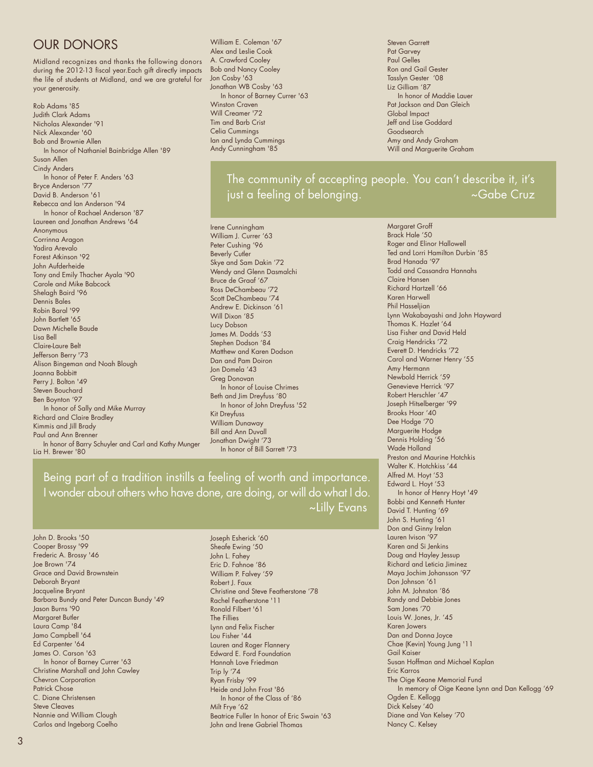# OUR DONORS

Midland recognizes and thanks the following donors during the 2012-13 fiscal year.Each gift directly impacts the life of students at Midland, and we are grateful for your generosity.

Rob Adams '85 Judith Clark Adams Nicholas Alexander '91 Nick Alexander '60 Bob and Brownie Allen In honor of Nathaniel Bainbridge Allen '89 Susan Allen Cindy Anders In honor of Peter F. Anders '63 Bryce Anderson '77 David B. Anderson '61 Rebecca and Ian Anderson '94 In honor of Rachael Anderson '87 Laureen and Jonathan Andrews '64 Anonymous Corrinna Aragon Yadira Arevalo Forest Atkinson '92 John Aufderheide Tony and Emily Thacher Ayala '90 Carole and Mike Babcock Shelagh Baird '96 Dennis Bales Robin Baral '99 John Bartlett '65 Dawn Michelle Baude Lisa Bell Claire-Laure Belt Jefferson Berry '73 Alison Bingeman and Noah Blough Joanna Bobbitt Perry J. Bolton '49 Steven Bouchard Ben Boynton '97 In honor of Sally and Mike Murray Richard and Claire Bradley Kimmis and Jill Brady Paul and Ann Brenner In honor of Barry Schuyler and Carl and Kathy Munger Lia H. Brewer '80

William E. Coleman '67 Alex and Leslie Cook A. Crawford Cooley Bob and Nancy Cooley Jon Cosby '63 Jonathan WB Cosby '63 In honor of Barney Currer '63 Winston Craven Will Creamer '72 Tim and Barb Crist Celia Cummings Ian and Lynda Cummings Andy Cunningham '85

Steven Garrett Pat Garvey Paul Gelles Ron and Gail Gester Tasslyn Gester '08 Liz Gilliam '87 In honor of Maddie Lauer Pat Jackson and Dan Gleich Global Impact Jeff and Lise Goddard Goodsearch Amy and Andy Graham Will and Marguerite Graham

The community of accepting people. You can't describe it, it's just a feeling of belonging. ~Gabe Cruz

Irene Cunningham William J. Currer '63 Peter Cushing '96 Beverly Cutler Skye and Sam Dakin '72 Wendy and Glenn Dasmalchi Bruce de Graaf '67 Ross DeChambeau '72 Scott DeChambeau '74 Andrew E. Dickinson '61 Will Dixon '85 Lucy Dobson James M. Dodds '53 Stephen Dodson '84 Matthew and Karen Dodson Dan and Pam Doiron Jon Domela '43 Greg Donovan In honor of Louise Chrimes Beth and Jim Dreyfuss '80 In honor of John Dreyfuss '52 Kit Dreyfuss William Dunaway Bill and Ann Duvall Jonathan Dwight '73 In honor of Bill Sarrett '73

Being part of a tradition instills a feeling of worth and importance. I wonder about others who have done, are doing, or will do what I do. ~Lilly Evans

John D. Brooks '50 Cooper Brossy '99 Frederic A. Brossy '46 Joe Brown '74 Grace and David Brownstein Deborah Bryant Jacqueline Bryant Barbara Bundy and Peter Duncan Bundy '49 Jason Burns '90 Margaret Butler Laura Camp '84 Jamo Campbell '64 Ed Carpenter '64 James O. Carson '63 In honor of Barney Currer '63 Christine Marshall and John Cawley Chevron Corporation Patrick Chose C. Diane Christensen Steve Cleaves Nannie and William Clough Carlos and Ingeborg Coelho

Joseph Esherick '60 Sheafe Ewing '50 John L. Fahey Eric D. Fahnoe '86 William P. Falvey '59 Robert J. Faux Christine and Steve Featherstone '78 Rachel Featherstone '11 Ronald Filbert '61 The Fillies Lynn and Felix Fischer Lou Fisher '44 Lauren and Roger Flannery Edward E. Ford Foundation Hannah Love Friedman Trip ly '74 Ryan Frisby '99 Heide and John Frost '86 In honor of the Class of '86 Milt Frye '62 Beatrice Fuller In honor of Eric Swain '63 John and Irene Gabriel Thomas

Margaret Groff Brack Hale '50 Roger and Elinor Hallowell Ted and Lorri Hamilton Durbin '85 Brad Hanada '97 Todd and Cassandra Hannahs Claire Hansen Richard Hartzell '66 Karen Harwell Phil Hasselijan Lynn Wakabayashi and John Hayward Thomas K. Hazlet '64 Lisa Fisher and David Held Craig Hendricks '72 Everett D. Hendricks '72 Carol and Warner Henry '55 Amy Hermann Newbold Herrick '59 Genevieve Herrick '97 Robert Herschler '47 Joseph Hitselberger '99 Brooks Hoar '40 Dee Hodge '70 Marguerite Hodge Dennis Holding '56 Wade Holland Preston and Maurine Hotchkis Walter K. Hotchkiss '44 Alfred M. Hoyt '53 Edward L. Hoyt '53 In honor of Henry Hoyt '49 Bobbi and Kenneth Hunter David T. Hunting '69 John S. Hunting '61 Don and Ginny Irelan Lauren Ivison '97 Karen and Si Jenkins Doug and Hayley Jessup Richard and Leticia Jiminez Maya Jochim Johansson '97 Don Johnson '61 John M. Johnston '86 Randy and Debbie Jones Sam Jones '70 Louis W. Jones, Jr. '45 Karen Jowers Dan and Donna Joyce Chae (Kevin) Young Jung '11 Gail Kaiser Susan Hoffman and Michael Kaplan Eric Karros The Oige Keane Memorial Fund In memory of Oige Keane Lynn and Dan Kellogg '69 Ogden E. Kellogg Dick Kelsey '40 Diane and Van Kelsey '70 Nancy C. Kelsey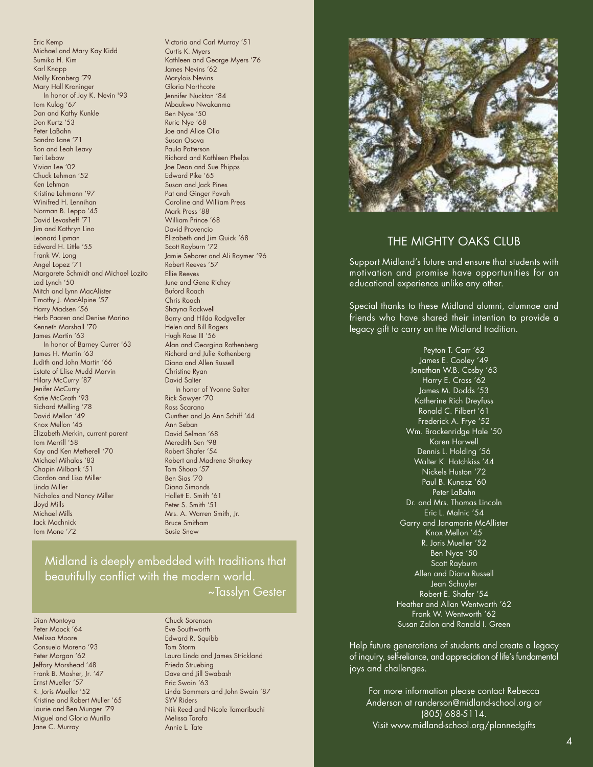Eric Kemp Michael and Mary Kay Kidd Sumiko H. Kim Karl Knapp Molly Kronberg '79 Mary Hall Kroninger In honor of Jay K. Nevin '93 Tom Kulog '67 Dan and Kathy Kunkle Don Kurtz '53 Peter LaBahn Sandro Lane '71 Ron and Leah Leavy Teri Lebow Vivian Lee '02 Chuck Lehman '52 Ken Lehman Kristine Lehmann '97 Winifred H. Lennihan Norman B. Leppo '45 David Levasheff '71 Jim and Kathryn Lino Leonard Lipman Edward H. Little '55 Frank W. Long Angel Lopez '71 Margarete Schmidt and Michael Lozito Lad Lynch '50 Mitch and Lynn MacAlister Timothy J. MacAlpine '57 Harry Madsen '56 Herb Paaren and Denise Marino Kenneth Marshall '70 James Martin '63 In honor of Barney Currer '63 James H. Martin '63 Judith and John Martin '66 Estate of Elise Mudd Marvin Hilary McCurry '87 Jenifer McCurry Katie McGrath<sup>'93</sup> Richard Melling '78 David Mellon '49 Knox Mellon '45 Elizabeth Merkin, current parent Tom Merrill '58 Kay and Ken Metherell '70 Michael Mihalas '83 Chapin Milbank '51 Gordon and Lisa Miller Linda Miller Nicholas and Nancy Miller Lloyd Mills Michael Mills Jack Mochnick Tom Mone '72

Victoria and Carl Murray '51 Curtis K. Myers Kathleen and George Myers '76 James Nevins '62 Marylois Nevins Gloria Northcote Jennifer Nuckton '84 Mbaukwu Nwakanma Ben Nyce '50 Ruric Nye '68 Joe and Alice Olla Susan Osova Paula Patterson Richard and Kathleen Phelps Joe Dean and Sue Phipps Edward Pike '65 Susan and Jack Pines Pat and Ginger Povah Caroline and William Press Mark Press '88 William Prince '68 David Provencio Elizabeth and Jim Quick '68 Scott Rayburn '72 Jamie Seborer and Ali Raymer '96 Robert Reeves '57 Ellie Reeves June and Gene Richey Buford Roach Chris Roach Shayna Rockwell Barry and Hilda Rodgveller Helen and Bill Rogers Hugh Rose III '56 Alan and Georgina Rothenberg Richard and Julie Rothenberg Diana and Allen Russell Christine Ryan David Salter In honor of Yvonne Salter Rick Sawyer '70 Ross Scarano Gunther and Jo Ann Schiff '44 Ann Seban David Selman '68 Meredith Sen '98 Robert Shafer '54 Robert and Madrene Sharkey Tom Shoup '57 Ben Sias '70 Diana Simonds Hallett E. Smith '61 Peter S. Smith '51 Mrs. A. Warren Smith, Jr. Bruce Smitham Susie Snow

# Midland is deeply embedded with traditions that beautifully conflict with the modern world. ~Tasslyn Gester

Dian Montoya Peter Moock '64 Melissa Moore Consuelo Moreno '93 Peter Morgan '62 Jeffory Morshead '48 Frank B. Mosher, Jr. '47 Ernst Mueller '57 R. Joris Mueller '52 Kristine and Robert Muller '65 Laurie and Ben Munger '79 Miguel and Gloria Murillo Jane C. Murray

#### Chuck Sorensen

Eve Southworth Edward R. Squibb Tom Storm Laura Linda and James Strickland Frieda Struebing Dave and Jill Swabash Eric Swain '63 Linda Sommers and John Swain '87 SYV Riders Nik Reed and Nicole Tamaribuchi Melissa Tarafa Annie L. Tate

![](_page_4_Picture_6.jpeg)

### THE MIGHTY OAKS CLUB

Support Midland's future and ensure that students with motivation and promise have opportunities for an educational experience unlike any other.

Special thanks to these Midland alumni, alumnae and friends who have shared their intention to provide a legacy gift to carry on the Midland tradition.

> Peyton T. Carr '62 James E. Cooley '49 Jonathan W.B. Cosby '63 Harry E. Cross '62 James M. Dodds '53 Katherine Rich Dreyfuss Ronald C. Filbert '61 Frederick A. Frye '52 Wm. Brackenridge Hale '50 Karen Harwell Dennis L. Holding '56 Walter K. Hotchkiss '44 Nickels Huston '72 Paul B. Kunasz '60 Peter LaBahn Dr. and Mrs. Thomas Lincoln Eric L. Malnic '54 Garry and Janamarie McAllister Knox Mellon '45 R. Joris Mueller '52 Ben Nyce '50 Scott Rayburn Allen and Diana Russell Jean Schuyler Robert E. Shafer '54 Heather and Allan Wentworth '62 Frank W. Wentworth '62 Susan Zalon and Ronald I. Green

Help future generations of students and create a legacy of inquiry, self-reliance, and appreciation of life's fundamental joys and challenges.

For more information please contact Rebecca Anderson at randerson@midland-school.org or (805) 688-5114. Visit www.midland-school.org/plannedgifts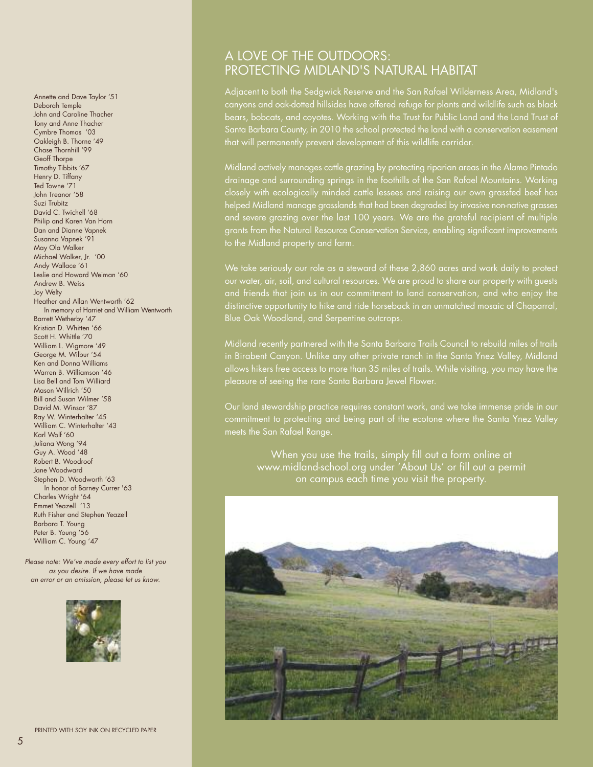Annette and Dave Taylor '51 Deborah Temple John and Caroline Thacher Tony and Anne Thacher Cymbre Thomas '03 Oakleigh B. Thorne '49 Chase Thornhill '99 Geoff Thorpe Timothy Tibbits '67 Henry D. Tiffany Ted Towne '71 John Treanor '58 Suzi Trubitz David C. Twichell '68 Philip and Karen Van Horn Dan and Dianne Vapnek Susanna Vapnek '91 May Ola Walker Michael Walker, Jr. '00 Andy Wallace '61 Leslie and Howard Weiman '60 Andrew B. Weiss Joy Welty Heather and Allan Wentworth '62 In memory of Harriet and William Wentworth Barrett Wetherby '47 Kristian D. Whitten '66 Scott H. Whittle '70 William L. Wigmore '49 George M. Wilbur '54 Ken and Donna Williams Warren B. Williamson '46 Lisa Bell and Tom Williard Mason Willrich '50 Bill and Susan Wilmer '58 David M. Winsor '87 Ray W. Winterhalter '45 William C. Winterhalter '43 Karl Wolf '60 Juliana Wong '94 Guy A. Wood '48 Robert B. Woodroof Jane Woodward Stephen D. Woodworth '63 In honor of Barney Currer '63 Charles Wright '64 Emmet Yeazell '13 Ruth Fisher and Stephen Yeazell Barbara T. Young Peter B. Young '56 William C. Young '47

*Please note: We've made every effort to list you as you desire. If we have made an error or an omission, please let us know.* 

![](_page_5_Picture_2.jpeg)

# A LOVE OF THE OUTDOORS: PROTECTING MIDLAND'S NATURAL HABITAT

Adjacent to both the Sedgwick Reserve and the San Rafael Wilderness Area, Midland's canyons and oak-dotted hillsides have offered refuge for plants and wildlife such as black bears, bobcats, and coyotes. Working with the Trust for Public Land and the Land Trust of Santa Barbara County, in 2010 the school protected the land with a conservation easement that will permanently prevent development of this wildlife corridor.

Midland actively manages cattle grazing by protecting riparian areas in the Alamo Pintado drainage and surrounding springs in the foothills of the San Rafael Mountains. Working closely with ecologically minded cattle lessees and raising our own grassfed beef has helped Midland manage grasslands that had been degraded by invasive non-native grasses and severe grazing over the last 100 years. We are the grateful recipient of multiple grants from the Natural Resource Conservation Service, enabling significant improvements to the Midland property and farm.

We take seriously our role as a steward of these 2,860 acres and work daily to protect our water, air, soil, and cultural resources. We are proud to share our property with guests and friends that join us in our commitment to land conservation, and who enjoy the distinctive opportunity to hike and ride horseback in an unmatched mosaic of Chaparral, Blue Oak Woodland, and Serpentine outcrops.

Midland recently partnered with the Santa Barbara Trails Council to rebuild miles of trails in Birabent Canyon. Unlike any other private ranch in the Santa Ynez Valley, Midland allows hikers free access to more than 35 miles of trails. While visiting, you may have the pleasure of seeing the rare Santa Barbara Jewel Flower.

Our land stewardship practice requires constant work, and we take immense pride in our commitment to protecting and being part of the ecotone where the Santa Ynez Valley meets the San Rafael Range.

When you use the trails, simply fill out a form online at www.midland-school.org under 'About Us' or fill out a permit on campus each time you visit the property.

![](_page_5_Picture_10.jpeg)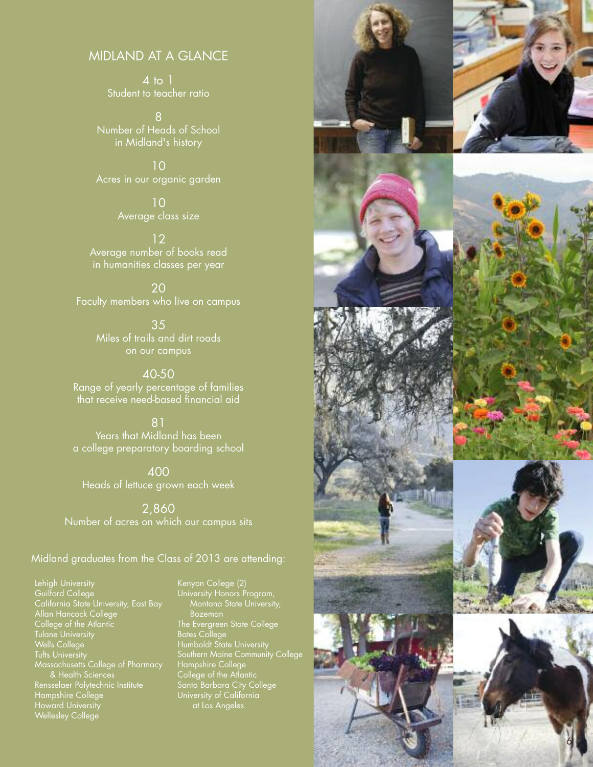### MIDLAND AT A GLANCE

4 to 1 Student to teacher ratio

8 Number of Heads of School in Midland's history

10 Acres in our organic garden

> 10 Average class size

12 Average number of books read in humanities classes per year

20 Faculty members who live on campus

> 35 Miles of trails and dirt roads on our campus

40-50 Range of yearly percentage of families that receive need-based financial aid

81 Years that Midland has been a college preparatory boarding school

400 Heads of lettuce grown each week

2,860 Number of acres on which our campus sits

### Midland graduates from the Class of 2013 are attending:

Lehigh University Guilford College California State University, East Bay Allan Hancock College College of the Atlantic Tulane University Wells College Tufts University Massachusetts College of Pharmacy & Health Sciences Rensselaer Polytechnic Institute Hampshire College Howard University Wellesley College

Kenyon College (2) University Honors Program, Montana State University, Bozeman The Evergreen State College Bates College Humboldt State University Southern Maine Community College Hampshire College College of the Atlantic Santa Barbara City College University of California at Los Angeles

![](_page_6_Picture_15.jpeg)